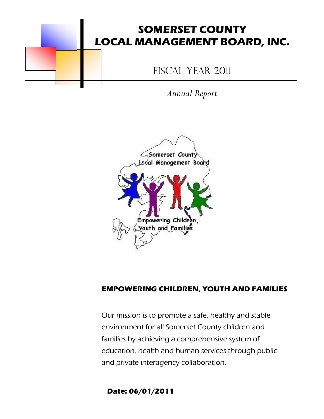

*Annual Report*



## **EMPOWERING CHILDREN, YOUTH AND FAMILIES**

Our mission is to promote a safe, healthy and stable environment for all Somerset County children and families by achieving a comprehensive system of education, health and human services through public and private interagency collaboration.

**Date: 06/01/2011**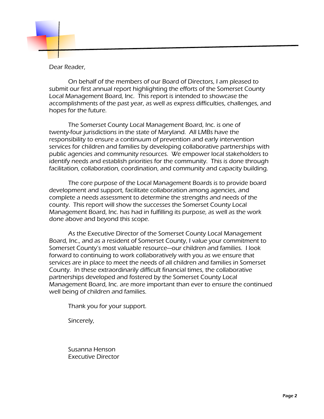

Dear Reader,

On behalf of the members of our Board of Directors, I am pleased to submit our first annual report highlighting the efforts of the Somerset County Local Management Board, Inc. This report is intended to showcase the accomplishments of the past year, as well as express difficulties, challenges, and hopes for the future.

The Somerset County Local Management Board, Inc. is one of twenty-four jurisdictions in the state of Maryland. All LMBs have the responsibility to ensure a continuum of prevention and early intervention services for children and families by developing collaborative partnerships with public agencies and community resources. We empower local stakeholders to identify needs and establish priorities for the community. This is done through facilitation, collaboration, coordination, and community and capacity building.

The core purpose of the Local Management Boards is to provide board development and support, facilitate collaboration among agencies, and complete a needs assessment to determine the strengths and needs of the county. This report will show the successes the Somerset County Local Management Board, Inc. has had in fulfilling its purpose, as well as the work done above and beyond this scope.

As the Executive Director of the Somerset County Local Management Board, Inc., and as a resident of Somerset County, I value your commitment to Somerset County's most valuable resource—our children and families. I look forward to continuing to work collaboratively with you as we ensure that services are in place to meet the needs of all children and families in Somerset County. In these extraordinarily difficult financial times, the collaborative partnerships developed and fostered by the Somerset County Local Management Board, Inc. are more important than ever to ensure the continued well being of children and families.

Thank you for your support.

Sincerely,

Susanna Henson Executive Director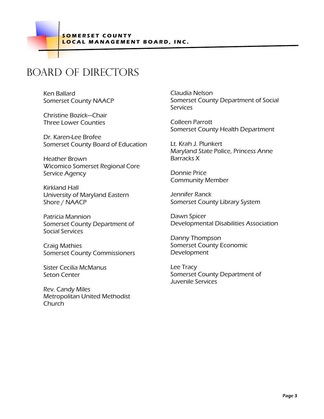## Board of directors

Ken Ballard Somerset County NAACP

Christine Bozick—Chair Three Lower Counties

Dr. Karen-Lee Brofee Somerset County Board of Education

Heather Brown Wicomico Somerset Regional Core Service Agency

Kirkland Hall University of Maryland Eastern Shore / NAACP

Patricia Mannion Somerset County Department of Social Services

Craig Mathies Somerset County Commissioners

Sister Cecilia McManus Seton Center

Rev. Candy Miles Metropolitan United Methodist Church

Claudia Nelson Somerset County Department of Social **Services** 

Colleen Parrott Somerset County Health Department

Lt. Krah J. Plunkert Maryland State Police, Princess Anne Barracks X

Donnie Price Community Member

Jennifer Ranck Somerset County Library System

Dawn Spicer Developmental Disabilities Association

Danny Thompson Somerset County Economic Development

Lee Tracy Somerset County Department of Juvenile Services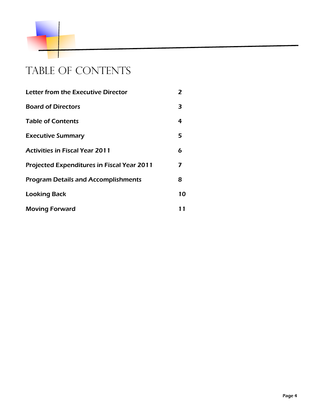

# TABLE OF CONTENTS

| Letter from the Executive Director                | 2  |
|---------------------------------------------------|----|
| <b>Board of Directors</b>                         | 3  |
| <b>Table of Contents</b>                          | 4  |
| <b>Executive Summary</b>                          | 5  |
| <b>Activities in Fiscal Year 2011</b>             | 6  |
| <b>Projected Expenditures in Fiscal Year 2011</b> | 7  |
| <b>Program Details and Accomplishments</b>        | 8  |
| <b>Looking Back</b>                               | 10 |
| <b>Moving Forward</b>                             | 11 |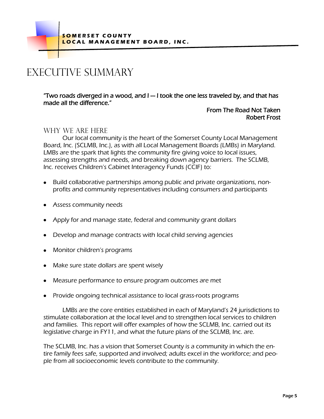**SOMERSET COUNTY L O C A L M A N A G E M E N T B O A R D , I N C .**

## EXECUTIVE SUMMARY

"Two roads diverged in a wood, and I — I took the one less traveled by, and that has made all the difference."

### From The Road Not Taken Robert Frost

## Why we are here

Our local community is the heart of the Somerset County Local Management Board, Inc. (SCLMB, Inc.), as with all Local Management Boards (LMBs) in Maryland. LMBs are the spark that lights the community fire giving voice to local issues, assessing strengths and needs, and breaking down agency barriers. The SCLMB, Inc. receives Children"s Cabinet Interagency Funds (CCIF) to:

- $\bullet$ Build collaborative partnerships among public and private organizations, nonprofits and community representatives including consumers and participants
- Assess community needs
- Apply for and manage state, federal and community grant dollars
- Develop and manage contracts with local child serving agencies
- Monitor children's programs
- Make sure state dollars are spent wisely
- Measure performance to ensure program outcomes are met
- Provide ongoing technical assistance to local grass-roots programs

LMBs are the core entities established in each of Maryland"s 24 jurisdictions to stimulate collaboration at the local level and to strengthen local services to children and families. This report will offer examples of how the SCLMB, Inc. carried out its legislative charge in FY11, and what the future plans of the SCLMB, Inc. are.

The SCLMB, Inc. has a vision that Somerset County is a community in which the entire family fees safe, supported and involved; adults excel in the workforce; and people from all socioeconomic levels contribute to the community.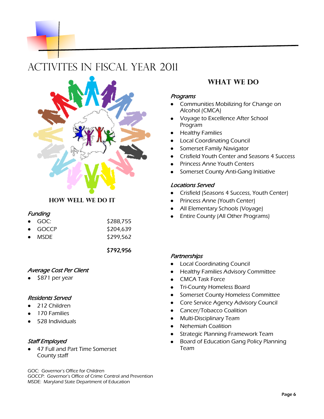## ACTIVITES IN FISCAL YEAR 2011



## **How well we do it**

#### **Funding**

| $\bullet$ GOC:  | \$288,755 |
|-----------------|-----------|
| $\bullet$ GOCCP | \$204,639 |
| $\bullet$ MSDF  | \$299,562 |

\$792,956

#### Average Cost Per Client

\$871 per year

#### Residents Served

- 212 Children
- 170 Families
- 528 Individuals

#### Staff Employed

47 Full and Part Time Somerset County staff

GOC: Governor"s Office for Children

GOCCP: Governor"s Office of Crime Control and Prevention MSDE: Maryland State Department of Education

## **WHAT WE DO**

#### Programs

- Communities Mobilizing for Change on Alcohol (CMCA)
- Voyage to Excellence After School Program
- Healthy Families
- Local Coordinating Council
- Somerset Family Navigator
- Crisfield Youth Center and Seasons 4 Success
- Princess Anne Youth Centers
- Somerset County Anti-Gang Initiative

#### Locations Served

- $\bullet$ Crisfield (Seasons 4 Success, Youth Center)
- Princess Anne (Youth Center)  $\bullet$
- All Elementary Schools (Voyage)
- Entire County (All Other Programs)  $\bullet$

#### **Partnerships**

- $\bullet$ Local Coordinating Council
- Healthy Families Advisory Committee  $\bullet$
- CMCA Task Force
- $\bullet$ Tri-County Homeless Board
- Somerset County Homeless Committee  $\bullet$
- Core Service Agency Advisory Council  $\bullet$
- Cancer/Tobacco Coalition  $\bullet$
- Multi-Disciplinary Team
- Nehemiah Coalition  $\bullet$
- Strategic Planning Framework Team
- Board of Education Gang Policy Planning  $\bullet$ Team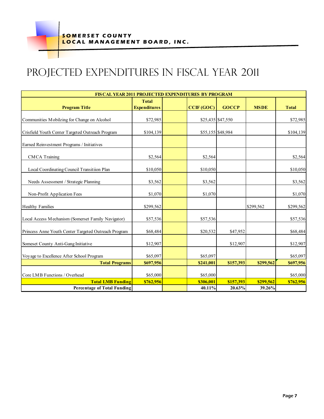# PROJECTED EXPENDITURES IN FISCAL YEAR 2011

| <b>FISCAL YEAR 2011 PROJECTED EXPENDITURES BY PROGRAM</b>      |                                     |  |                     |                     |                     |              |  |  |  |
|----------------------------------------------------------------|-------------------------------------|--|---------------------|---------------------|---------------------|--------------|--|--|--|
| <b>Program Title</b>                                           | <b>Total</b><br><b>Expenditures</b> |  | CCIF (GOC)          | <b>GOCCP</b>        | <b>MSDE</b>         | <b>Total</b> |  |  |  |
| Communities Mobilzing for Change on Alcohol                    | \$72,985                            |  |                     | \$25,435 \$47,550   |                     | \$72,985     |  |  |  |
| Crisfield Youth Center Targeted Outreach Program               | \$104,139                           |  |                     | \$55,155 \$48,984   |                     | \$104,139    |  |  |  |
| Earned Reinvestment Programs / Initiatives                     |                                     |  |                     |                     |                     |              |  |  |  |
| <b>CMCA</b> Training                                           | \$2,564                             |  | \$2,564             |                     |                     | \$2,564      |  |  |  |
| Local Coordinating Council Transitiion Plan                    | \$10,050                            |  | \$10,050            |                     |                     | \$10,050     |  |  |  |
| Needs Assessment / Strategic Planning                          | \$3,562                             |  | \$3,562             |                     |                     | \$3,562      |  |  |  |
| Non-Profit Application Fees                                    | \$1,070                             |  | \$1,070             |                     |                     | \$1,070      |  |  |  |
| <b>Healthy Families</b>                                        | \$299,562                           |  |                     |                     | \$299,562           | \$299,562    |  |  |  |
| Local Access Mechanism (Somerset Family Navigator)             | \$57,536                            |  | \$57,536            |                     |                     | \$57,536     |  |  |  |
| Princess Anne Youth Center Targeted Outreach Program           | \$68,484                            |  | \$20,532            | \$47,952            |                     | \$68,484     |  |  |  |
| Someset County Anti-Gang Initiative                            | \$12,907                            |  |                     | \$12,907            |                     | \$12,907     |  |  |  |
| Voyage to Excellence After School Program                      | \$65,097                            |  | \$65,097            |                     |                     | \$65,097     |  |  |  |
| <b>Total Programs</b>                                          | \$697,956                           |  | \$241,001           | \$157,393           | \$299,562           | \$697,956    |  |  |  |
| Core LMB Functions / Overhead                                  | \$65,000                            |  | \$65,000            |                     |                     | \$65,000     |  |  |  |
| <b>Total LMB Funding</b><br><b>Percentage of Total Funding</b> | \$762,956                           |  | \$306,001<br>40.11% | \$157,393<br>20.63% | \$299,562<br>39.26% | \$762,956    |  |  |  |
|                                                                |                                     |  |                     |                     |                     |              |  |  |  |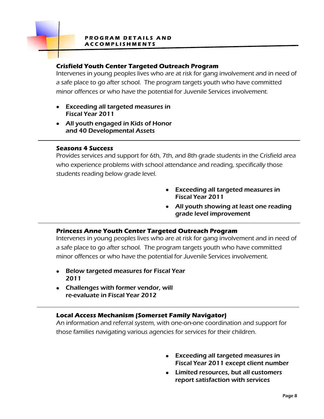#### **PROGRAM DETAILS AND A C C O M P L I S H M E N T S**

## **Crisfield Youth Center Targeted Outreach Program**

Intervenes in young peoples lives who are at risk for gang involvement and in need of a safe place to go after school. The program targets youth who have committed minor offences or who have the potential for Juvenile Services involvement.

- Exceeding all targeted measures in Fiscal Year 2011
- All youth engaged in Kids of Honor and 40 Developmental Assets

#### **Seasons 4 Success**

Provides services and support for 6th, 7th, and 8th grade students in the Crisfield area who experience problems with school attendance and reading, specifically those students reading below grade level.

- Exceeding all targeted measures in Fiscal Year 2011
- All youth showing at least one reading grade level improvement

## **Princess Anne Youth Center Targeted Outreach Program**

Intervenes in young peoples lives who are at risk for gang involvement and in need of a safe place to go after school. The program targets youth who have committed minor offences or who have the potential for Juvenile Services involvement.

- Below targeted measures for Fiscal Year 2011
- Challenges with former vendor, will re-evaluate in Fiscal Year 2012

## **Local Access Mechanism (Somerset Family Navigator)**

An information and referral system, with one-on-one coordination and support for those families navigating various agencies for services for their children.

- Exceeding all targeted measures in Fiscal Year 2011 except client number
- Limited resources, but all customers report satisfaction with services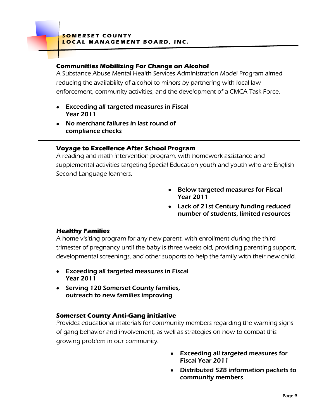## **Communities Mobilizing For Change on Alcohol**

A Substance Abuse Mental Health Services Administration Model Program aimed reducing the availability of alcohol to minors by partnering with local law enforcement, community activities, and the development of a CMCA Task Force.

- Exceeding all targeted measures in Fiscal Year 2011
- No merchant failures in last round of compliance checks

## **Voyage to Excellence After School Program**

A reading and math intervention program, with homework assistance and supplemental activities targeting Special Education youth and youth who are English Second Language learners.

- Below targeted measures for Fiscal Year 2011
- Lack of 21st Century funding reduced number of students, limited resources

## **Healthy Families**

A home visiting program for any new parent, with enrollment during the third trimester of pregnancy until the baby is three weeks old, providing parenting support, developmental screenings, and other supports to help the family with their new child.

- Exceeding all targeted measures in Fiscal Year 2011
- Serving 120 Somerset County families, outreach to new families improving

## **Somerset County Anti-Gang initiative**

Provides educational materials for community members regarding the warning signs of gang behavior and involvement, as well as strategies on how to combat this growing problem in our community.

- Exceeding all targeted measures for  $\bullet$ Fiscal Year 2011
- Distributed 528 information packets to community members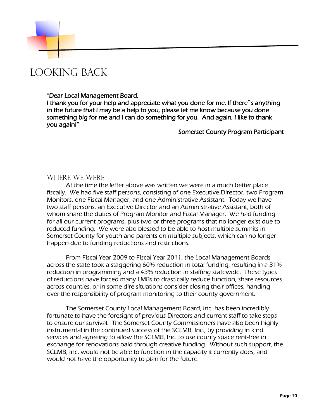## LOOKING BACK

#### "Dear Local Management Board,

I thank you for your help and appreciate what you done for me. If there s anything in the future that I may be a help to you, please let me know because you done something big for me and I can do something for you. And again, I like to thank you again!"

Somerset County Program Participant

#### Where we were

At the time the letter above was written we were in a much better place fiscally. We had five staff persons, consisting of one Executive Director, two Program Monitors, one Fiscal Manager, and one Administrative Assistant. Today we have two staff persons, an Executive Director and an Administrative Assistant, both of whom share the duties of Program Monitor and Fiscal Manager. We had funding for all our current programs, plus two or three programs that no longer exist due to reduced funding. We were also blessed to be able to host multiple summits in Somerset County for youth and parents on multiple subjects, which can no longer happen due to funding reductions and restrictions.

From Fiscal Year 2009 to Fiscal Year 2011, the Local Management Boards across the state took a staggering 60% reduction in total funding, resulting in a 31% reduction in programming and a 43% reduction in staffing statewide. These types of reductions have forced many LMBs to drastically reduce function, share resources across counties, or in some dire situations consider closing their offices, handing over the responsibility of program monitoring to their county government.

The Somerset County Local Management Board, Inc. has been incredibly fortunate to have the foresight of previous Directors and current staff to take steps to ensure our survival. The Somerset County Commissioners have also been highly instrumental in the continued success of the SCLMB, Inc., by providing in kind services and agreeing to allow the SCLMB, Inc. to use county space rent-free in exchange for renovations paid through creative funding. Without such support, the SCLMB, Inc. would not be able to function in the capacity it currently does, and would not have the opportunity to plan for the future.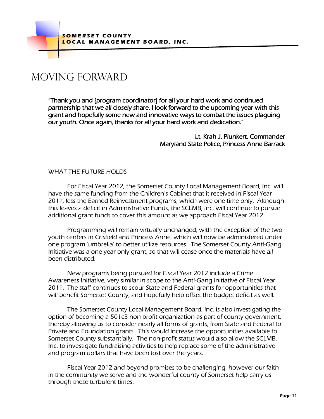## MOVING FORWARD

"Thank you and [program coordinator] for all your hard work and continued partnership that we all closely share. I look forward to the upcoming year with this grant and hopefully some new and innovative ways to combat the issues plaguing our youth. Once again, thanks for all your hard work and dedication."

> Lt. Krah J. Plunkert, Commander Maryland State Police, Princess Anne Barrack

## WHAT THE FUTURE HOLDS

For Fiscal Year 2012, the Somerset County Local Management Board, Inc. will have the same funding from the Children"s Cabinet that it received in Fiscal Year 2011, less the Earned Reinvestment programs, which were one time only. Although this leaves a deficit in Administrative Funds, the SCLMB, Inc. will continue to pursue additional grant funds to cover this amount as we approach Fiscal Year 2012.

Programming will remain virtually unchanged, with the exception of the two youth centers in Crisfield and Princess Anne, which will now be administered under one program "umbrella" to better utilize resources. The Somerset County Anti-Gang Initiative was a one year only grant, so that will cease once the materials have all been distributed.

New programs being pursued for Fiscal Year 2012 include a Crime Awareness Initiative, very similar in scope to the Anti-Gang Initiative of Fiscal Year 2011. The staff continues to scour State and Federal grants for opportunities that will benefit Somerset County, and hopefully help offset the budget deficit as well.

The Somerset County Local Management Board, Inc. is also investigating the option of becoming a 501c3 non-profit organization as part of county government, thereby allowing us to consider nearly all forms of grants, from State and Federal to Private and Foundation grants. This would increase the opportunities available to Somerset County substantially. The non-profit status would also allow the SCLMB, Inc. to investigate fundraising activities to help replace some of the administrative and program dollars that have been lost over the years.

Fiscal Year 2012 and beyond promises to be challenging, however our faith in the community we serve and the wonderful county of Somerset help carry us through these turbulent times.